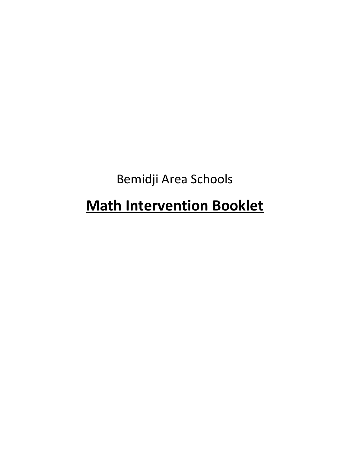Bemidji Area Schools

# **Math Intervention Booklet**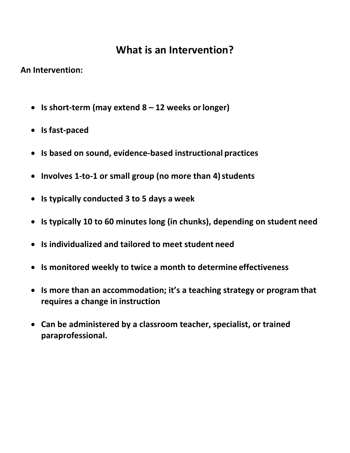## **What is an Intervention?**

**An Intervention:**

- **Is short-term (may extend 8 – 12 weeks orlonger)**
- **Isfast-paced**
- **Is based on sound, evidence-based instructional practices**
- Involves 1-to-1 or small group (no more than 4) students
- **Is typically conducted 3 to 5 days a week**
- **Is typically 10 to 60 minutes long (in chunks), depending on student need**
- **Is individualized and tailored to meet student need**
- **Is monitored weekly to twice a month to determine effectiveness**
- **Is more than an accommodation; it's a teaching strategy or program that requires a change in instruction**
- **Can be administered by a classroom teacher, specialist, or trained paraprofessional.**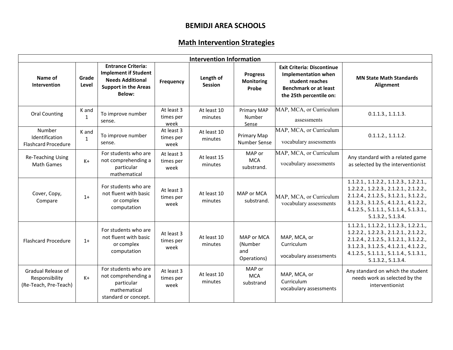#### **BEMIDJI AREA SCHOOLS**

## **Math Intervention Strategies**

| <b>Intervention Information</b>                               |                       |                                                                                                                                     |                                 |                             |                                               |                                                                                                                                               |                                                                                                                                                                                                                                           |  |
|---------------------------------------------------------------|-----------------------|-------------------------------------------------------------------------------------------------------------------------------------|---------------------------------|-----------------------------|-----------------------------------------------|-----------------------------------------------------------------------------------------------------------------------------------------------|-------------------------------------------------------------------------------------------------------------------------------------------------------------------------------------------------------------------------------------------|--|
| Name of<br>Intervention                                       | Grade<br>Level        | <b>Entrance Criteria:</b><br><b>Implement if Student</b><br><b>Needs Additional</b><br><b>Support in the Areas</b><br><b>Below:</b> | Frequency                       | Length of<br><b>Session</b> | <b>Progress</b><br><b>Monitoring</b><br>Probe | <b>Exit Criteria: Discontinue</b><br><b>Implementation when</b><br>student reaches<br><b>Benchmark or at least</b><br>the 25th percentile on: | <b>MN State Math Standards</b><br>Alignment                                                                                                                                                                                               |  |
| <b>Oral Counting</b>                                          | K and<br>$\mathbf 1$  | To improve number<br>sense.                                                                                                         | At least 3<br>times per<br>week | At least 10<br>minutes      | <b>Primary MAP</b><br>Number<br>Sense         | MAP, MCA, or Curriculum<br>assessments                                                                                                        | 0.1.1.3., 1.1.1.3.                                                                                                                                                                                                                        |  |
| Number<br>Identification<br><b>Flashcard Procedure</b>        | K and<br>$\mathbf{1}$ | To improve number<br>sense.                                                                                                         | At least 3<br>times per<br>week | At least 10<br>minutes      | Primary Map<br><b>Number Sense</b>            | MAP, MCA, or Curriculum<br>vocabulary assessments                                                                                             | 0.1.1.2., 1.1.1.2.                                                                                                                                                                                                                        |  |
| Re-Teaching Using<br><b>Math Games</b>                        | $K+$                  | For students who are<br>not comprehending a<br>particular<br>mathematical                                                           | At least 3<br>times per<br>week | At least 15<br>minutes      | MAP or<br><b>MCA</b><br>substrand.            | MAP, MCA, or Curriculum<br>vocabulary assessments                                                                                             | Any standard with a related game<br>as selected by the interventionist                                                                                                                                                                    |  |
| Cover, Copy,<br>Compare                                       | $1+$                  | For students who are<br>not fluent with basic<br>or complex<br>computation                                                          | At least 3<br>times per<br>week | At least 10<br>minutes      | MAP or MCA<br>substrand.                      | MAP, MCA, or Curriculum<br>vocabulary assessments                                                                                             | 1.1.2.1., 1.1.2.2., 1.1.2.3., 1.2.2.1.,<br>1.2.2.2., 1.2.2.3., 2.1.2.1., 2.1.2.2.,<br>2.1.2.4., 2.1.2.5., 3.1.2.1., 3.1.2.2.,<br>3.1.2.3., 3.1.2.5., 4.1.2.1., 4.1.2.2.,<br>4.1.2.5., 5.1.1.1., 5.1.1.4., 5.1.3.1.,<br>5.1.3.2., 5.1.3.4. |  |
| <b>Flashcard Procedure</b>                                    | $1+$                  | For students who are<br>not fluent with basic<br>or complex<br>computation                                                          | At least 3<br>times per<br>week | At least 10<br>minutes      | MAP or MCA<br>(Number<br>and<br>Operations)   | MAP, MCA, or<br>Curriculum<br>vocabulary assessments                                                                                          | 1.1.2.1., 1.1.2.2., 1.1.2.3., 1.2.2.1.,<br>1.2.2.2., 1.2.2.3., 2.1.2.1., 2.1.2.2.,<br>2.1.2.4., 2.1.2.5., 3.1.2.1., 3.1.2.2.,<br>3.1.2.3., 3.1.2.5., 4.1.2.1., 4.1.2.2.,<br>4.1.2.5., 5.1.1.1., 5.1.1.4., 5.1.3.1.,<br>5.1.3.2., 5.1.3.4. |  |
| Gradual Release of<br>Responsibility<br>(Re-Teach, Pre-Teach) | $K+$                  | For students who are<br>not comprehending a<br>particular<br>mathematical<br>standard or concept.                                   | At least 3<br>times per<br>week | At least 10<br>minutes      | MAP or<br><b>MCA</b><br>substrand             | MAP, MCA, or<br>Curriculum<br>vocabulary assessments                                                                                          | Any standard on which the student<br>needs work as selected by the<br>interventionist                                                                                                                                                     |  |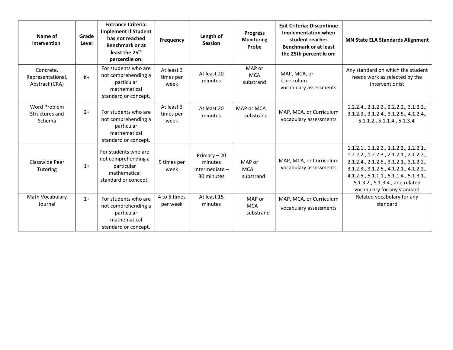| Name of<br>Intervention                          | Grade<br>Level | <b>Entrance Criteria:</b><br><b>Implement if Student</b><br>has not reached<br><b>Benchmark or at</b><br>least the 25 <sup>th</sup><br>percentile on: | Frequency                       | Length of<br><b>Session</b>                             | <b>Progress</b><br><b>Monitoring</b><br>Probe | <b>Exit Criteria: Discontinue</b><br><b>Implementation when</b><br>student reaches<br><b>Benchmark or at least</b><br>the 25th percentile on: | <b>MN State ELA Standards Alignment</b>                                                                                                                                                                                                                                           |
|--------------------------------------------------|----------------|-------------------------------------------------------------------------------------------------------------------------------------------------------|---------------------------------|---------------------------------------------------------|-----------------------------------------------|-----------------------------------------------------------------------------------------------------------------------------------------------|-----------------------------------------------------------------------------------------------------------------------------------------------------------------------------------------------------------------------------------------------------------------------------------|
| Concrete,<br>Representational,<br>Abstract (CRA) | $K+$           | For students who are<br>not comprehending a<br>particular<br>mathematical<br>standard or concept.                                                     | At least 3<br>times per<br>week | At least 20<br>minutes                                  | MAP or<br><b>MCA</b><br>substrand             | MAP, MCA, or<br>Curriculum<br>vocabulary assessments                                                                                          | Any standard on which the student<br>needs work as selected by the<br>interventionist                                                                                                                                                                                             |
| Word Problem<br>Structures and<br>Schema         | $2+$           | For students who are<br>not comprehending a<br>particular<br>mathematical<br>standard or concept.                                                     | At least 3<br>times per<br>week | At least 20<br>minutes                                  | MAP or MCA<br>substrand                       | MAP, MCA, or Curriculum<br>vocabulary assessments                                                                                             | 1.2.2.4., 2.1.2.2., 2.2.2.2., 3.1.2.2.,<br>3.1.2.3., 3.1.2.4., 3.1.2.5., 4.1.2.4.,<br>5.1.1.2., 5.1.1.4., 5.1.3.4.                                                                                                                                                                |
| Classwide Peer<br>Tutoring                       | $1+$           | For students who are<br>not comprehending a<br>particular<br>mathematical<br>standard or concept.                                                     | 5 times per<br>week             | Primary $-20$<br>minutes<br>Intermediate-<br>30 minutes | MAP or<br><b>MCA</b><br>substrand             | MAP, MCA, or Curriculum<br>vocabulary assessments                                                                                             | 1.1.2.1, 1.1.2.2, 1.1.2.3, 1.2.2.1,<br>1.2.2.2., 1.2.2.3., 2.1.2.1., 2.1.2.2.,<br>2.1.2.4., 2.1.2.5., 3.1.2.1., 3.1.2.2.,<br>3.1.2.3., 3.1.2.5., 4.1.2.1., 4.1.2.2.,<br>4.1.2.5., 5.1.1.1., 5.1.1.4., 5.1.3.1.,<br>5.1.3.2., 5.1.3.4., and related<br>vocabulary for any standard |
| Math Vocabulary<br>Journal                       | $1+$           | For students who are<br>not comprehending a<br>particular<br>mathematical<br>standard or concept.                                                     | 4 to 5 times<br>per week        | At least 15<br>minutes                                  | MAP or<br><b>MCA</b><br>substrand             | MAP, MCA, or Curriculum<br>vocabulary assessments                                                                                             | Related vocabulary for any<br>standard                                                                                                                                                                                                                                            |